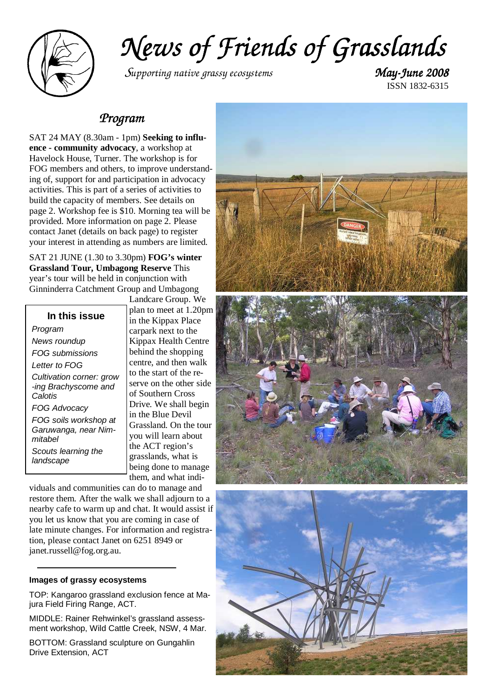

*News of Friends of Grasslands of Grasslands* 

<sup>S</sup>*upporting native grassy ecosystems May-June 2008 June 2008* 

ISSN 1832-6315

### *Program*

SAT 24 MAY (8.30am - 1pm) **Seeking to influence - community advocacy**, a workshop at Havelock House, Turner. The workshop is for FOG members and others, to improve understanding of, support for and participation in advocacy activities. This is part of a series of activities to build the capacity of members. See details on page 2. Workshop fee is \$10. Morning tea will be provided. More information on page 2. Please contact Janet (details on back page) to register your interest in attending as numbers are limited.

SAT 21 JUNE (1.30 to 3.30pm) **FOG's winter Grassland Tour, Umbagong Reserve** This year's tour will be held in conjunction with Ginninderra Catchment Group and Umbagong

| In this issue                                               |
|-------------------------------------------------------------|
| Program                                                     |
| News roundup                                                |
| FOG submissions                                             |
| Letter to FOG                                               |
| Cultivation corner: grow<br>-ing Brachyscome and<br>Calotis |
| FOG Advocacy                                                |
| FOG soils workshop at<br>Garuwanga, near Nim-<br>mitahel    |
| Scouts learning the<br>landscape                            |

Landcare Group. We plan to meet at 1.20pm in the Kippax Place carpark next to the Kippax Health Centre behind the shopping centre, and then walk to the start of the reserve on the other side of Southern Cross Drive. We shall begin in the Blue Devil Grassland. On the tour you will learn about the ACT region's grasslands, what is being done to manage them, and what indi-

viduals and communities can do to manage and restore them. After the walk we shall adjourn to a nearby cafe to warm up and chat. It would assist if you let us know that you are coming in case of late minute changes. For information and registration, please contact Janet on 6251 8949 or janet.russell@fog.org.au.

### **Images of grassy ecosystems**

TOP: Kangaroo grassland exclusion fence at Majura Field Firing Range, ACT.

MIDDLE: Rainer Rehwinkel's grassland assessment workshop, Wild Cattle Creek, NSW, 4 Mar.

BOTTOM: Grassland sculpture on Gungahlin Drive Extension, ACT

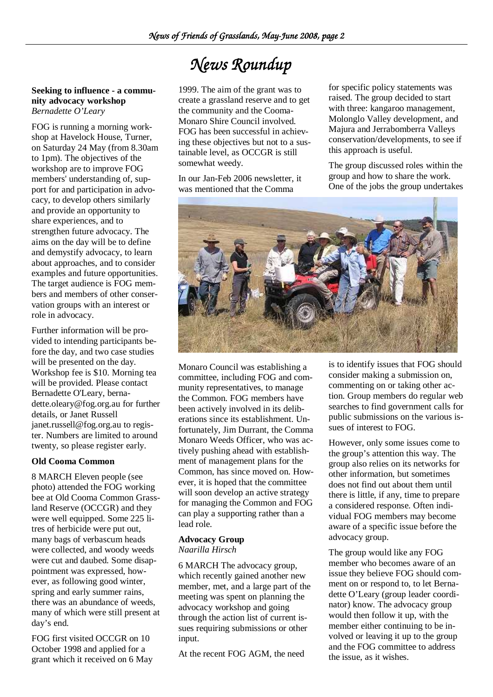# *News Roundup*

**Seeking to influence - a community advocacy workshop** *Bernadette O'Leary* 

FOG is running a morning workshop at Havelock House, Turner, on Saturday 24 May (from 8.30am to 1pm). The objectives of the workshop are to improve FOG members' understanding of, support for and participation in advocacy, to develop others similarly and provide an opportunity to share experiences, and to strengthen future advocacy. The aims on the day will be to define and demystify advocacy, to learn about approaches, and to consider examples and future opportunities. The target audience is FOG members and members of other conservation groups with an interest or role in advocacy.

Further information will be provided to intending participants before the day, and two case studies will be presented on the day. Workshop fee is \$10. Morning tea will be provided. Please contact Bernadette O'Leary, bernadette.oleary@fog.org.au for further details, or Janet Russell janet.russell@fog.org.au to register. Numbers are limited to around twenty, so please register early.

### **Old Cooma Common**

8 MARCH Eleven people (see photo) attended the FOG working bee at Old Cooma Common Grassland Reserve (OCCGR) and they were well equipped. Some 225 litres of herbicide were put out, many bags of verbascum heads were collected, and woody weeds were cut and daubed. Some disappointment was expressed, however, as following good winter, spring and early summer rains, there was an abundance of weeds, many of which were still present at day's end.

FOG first visited OCCGR on 10 October 1998 and applied for a grant which it received on 6 May

1999. The aim of the grant was to create a grassland reserve and to get the community and the Cooma-Monaro Shire Council involved. FOG has been successful in achieving these objectives but not to a sustainable level, as OCCGR is still somewhat weedy.

In our Jan-Feb 2006 newsletter, it was mentioned that the Comma

for specific policy statements was raised. The group decided to start with three: kangaroo management, Molonglo Valley development, and Majura and Jerrabomberra Valleys conservation/developments, to see if this approach is useful.

The group discussed roles within the group and how to share the work. One of the jobs the group undertakes



Monaro Council was establishing a committee, including FOG and community representatives, to manage the Common. FOG members have been actively involved in its deliberations since its establishment. Unfortunately, Jim Durrant, the Comma Monaro Weeds Officer, who was actively pushing ahead with establishment of management plans for the Common, has since moved on. However, it is hoped that the committee will soon develop an active strategy for managing the Common and FOG can play a supporting rather than a lead role.

### **Advocacy Group**

*Naarilla Hirsch* 

6 MARCH The advocacy group, which recently gained another new member, met, and a large part of the meeting was spent on planning the advocacy workshop and going through the action list of current issues requiring submissions or other input.

At the recent FOG AGM, the need

is to identify issues that FOG should consider making a submission on, commenting on or taking other action. Group members do regular web searches to find government calls for public submissions on the various issues of interest to FOG.

However, only some issues come to the group's attention this way. The group also relies on its networks for other information, but sometimes does not find out about them until there is little, if any, time to prepare a considered response. Often individual FOG members may become aware of a specific issue before the advocacy group.

The group would like any FOG member who becomes aware of an issue they believe FOG should comment on or respond to, to let Bernadette O'Leary (group leader coordinator) know. The advocacy group would then follow it up, with the member either continuing to be involved or leaving it up to the group and the FOG committee to address the issue, as it wishes.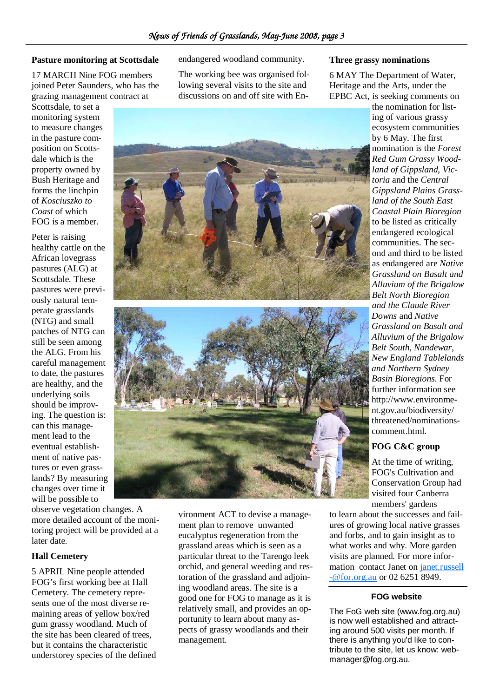### **Pasture monitoring at Scottsdale**

17 MARCH Nine FOG members joined Peter Saunders, who has the grazing management contract at

Scottsdale, to set a monitoring system to measure changes in the pasture composition on Scottsdale which is the property owned by Bush Heritage and forms the linchpin of *Kosciuszko to Coast* of which FOG is a member.

Peter is raising healthy cattle on the African lovegrass pastures (ALG) at Scottsdale. These pastures were previously natural temperate grasslands (NTG) and small patches of NTG can still be seen among the ALG. From his careful management to date, the pastures are healthy, and the underlying soils should be improving. The question is: can this management lead to the eventual establishment of native pastures or even grasslands? By measuring changes over time it will be possible to

observe vegetation changes. A more detailed account of the monitoring project will be provided at a later date.

### **Hall Cemetery**

5 APRIL Nine people attended FOG's first working bee at Hall Cemetery. The cemetery represents one of the most diverse remaining areas of yellow box/red gum grassy woodland. Much of the site has been cleared of trees, but it contains the characteristic understorey species of the defined endangered woodland community.

The working bee was organised following several visits to the site and discussions on and off site with En-

#### **Three grassy nominations**

6 MAY The Department of Water, Heritage and the Arts, under the EPBC Act, is seeking comments on

> the nomination for listing of various grassy ecosystem communities by 6 May. The first nomination is the *Forest Red Gum Grassy Woodland of Gippsland, Victoria* and the *Central Gippsland Plains Grassland of the South East Coastal Plain Bioregion* to be listed as critically endangered ecological communities. The second and third to be listed as endangered are *Native Grassland on Basalt and Alluvium of the Brigalow Belt North Bioregion and the Claude River Downs* and *Native Grassland on Basalt and Alluvium of the Brigalow Belt South, Nandewar, New England Tablelands and Northern Sydney Basin Bioregions*. For further information see http://www.environment.gov.au/biodiversity/ threatened/nominationscomment.html.

### **FOG C&C group**

At the time of writing, FOG's Cultivation and Conservation Group had visited four Canberra members' gardens

to learn about the successes and failures of growing local native grasses and forbs, and to gain insight as to what works and why. More garden visits are planned. For more information contact Janet on janet.russell -@for.org.au or 02 6251 8949.

#### **FOG website**

The FoG web site (www.fog.org.au) is now well established and attracting around 500 visits per month. If there is anything you'd like to contribute to the site, let us know: webmanager@fog.org.au.





vironment ACT to devise a management plan to remove unwanted eucalyptus regeneration from the grassland areas which is seen as a particular threat to the Tarengo leek orchid, and general weeding and restoration of the grassland and adjoining woodland areas. The site is a good one for FOG to manage as it is relatively small, and provides an opportunity to learn about many aspects of grassy woodlands and their

management.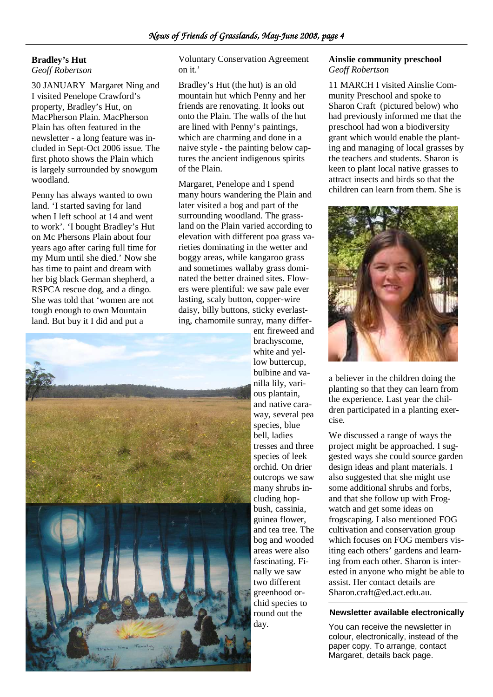### **Bradley's Hut**

*Geoff Robertson* 

30 JANUARY Margaret Ning and I visited Penelope Crawford's property, Bradley's Hut, on MacPherson Plain. MacPherson Plain has often featured in the newsletter - a long feature was included in Sept-Oct 2006 issue. The first photo shows the Plain which is largely surrounded by snowgum woodland.

Penny has always wanted to own land. 'I started saving for land when I left school at 14 and went to work'. 'I bought Bradley's Hut on Mc Phersons Plain about four years ago after caring full time for my Mum until she died.' Now she has time to paint and dream with her big black German shepherd, a RSPCA rescue dog, and a dingo. She was told that 'women are not tough enough to own Mountain land. But buy it I did and put a

Voluntary Conservation Agreement on it.'

Bradley's Hut (the hut) is an old mountain hut which Penny and her friends are renovating. It looks out onto the Plain. The walls of the hut are lined with Penny's paintings, which are charming and done in a naive style - the painting below captures the ancient indigenous spirits of the Plain.

Margaret, Penelope and I spend many hours wandering the Plain and later visited a bog and part of the surrounding woodland. The grassland on the Plain varied according to elevation with different poa grass varieties dominating in the wetter and boggy areas, while kangaroo grass and sometimes wallaby grass dominated the better drained sites. Flowers were plentiful: we saw pale ever lasting, scaly button, copper-wire daisy, billy buttons, sticky everlasting, chamomile sunray, many differ-



ent fireweed and brachyscome, white and yellow buttercup, bulbine and vanilla lily, various plantain, and native caraway, several pea species, blue bell, ladies tresses and three species of leek orchid. On drier outcrops we saw many shrubs including hopbush, cassinia, guinea flower, and tea tree. The bog and wooded areas were also fascinating. Finally we saw two different greenhood orchid species to round out the day.

### **Ainslie community preschool**  *Geoff Robertson*

11 MARCH I visited Ainslie Community Preschool and spoke to Sharon Craft (pictured below) who had previously informed me that the preschool had won a biodiversity grant which would enable the planting and managing of local grasses by the teachers and students. Sharon is keen to plant local native grasses to attract insects and birds so that the children can learn from them. She is



a believer in the children doing the planting so that they can learn from the experience. Last year the children participated in a planting exercise.

We discussed a range of ways the project might be approached. I suggested ways she could source garden design ideas and plant materials. I also suggested that she might use some additional shrubs and forbs, and that she follow up with Frogwatch and get some ideas on frogscaping. I also mentioned FOG cultivation and conservation group which focuses on FOG members visiting each others' gardens and learning from each other. Sharon is interested in anyone who might be able to assist. Her contact details are Sharon.craft@ed.act.edu.au.

### **Newsletter available electronically**

You can receive the newsletter in colour, electronically, instead of the paper copy. To arrange, contact Margaret, details back page.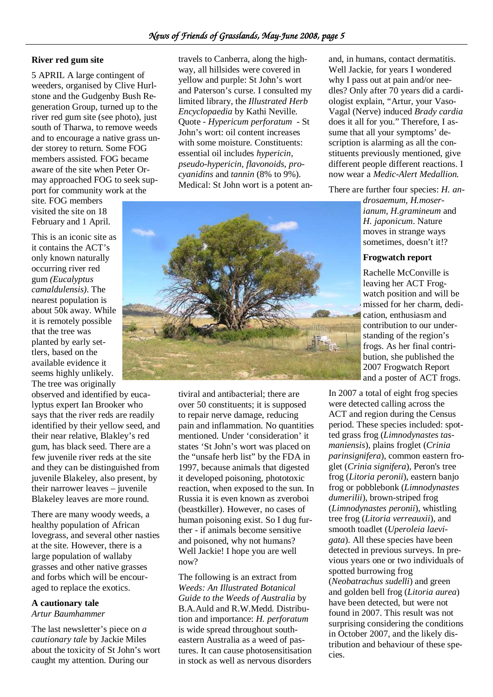### **River red gum site**

5 APRIL A large contingent of weeders, organised by Clive Hurlstone and the Gudgenby Bush Regeneration Group, turned up to the river red gum site (see photo), just south of Tharwa, to remove weeds and to encourage a native grass under storey to return. Some FOG members assisted. FOG became aware of the site when Peter Ormay approached FOG to seek support for community work at the

site. FOG members visited the site on 18 February and 1 April.

This is an iconic site as it contains the ACT's only known naturally occurring river red gum *(Eucalyptus camaldulensis).* The nearest population is about 50k away. While it is remotely possible that the tree was planted by early settlers, based on the available evidence it seems highly unlikely. The tree was originally

observed and identified by eucalyptus expert Ian Brooker who says that the river reds are readily identified by their yellow seed, and their near relative, Blakley's red gum, has black seed. There are a few juvenile river reds at the site and they can be distinguished from juvenile Blakeley, also present, by their narrower leaves – juvenile Blakeley leaves are more round.

There are many woody weeds, a healthy population of African lovegrass, and several other nasties at the site. However, there is a large population of wallaby grasses and other native grasses and forbs which will be encouraged to replace the exotics.

### **A cautionary tale**

### *Artur Baumhammer*

The last newsletter's piece on *a cautionary tale* by Jackie Miles about the toxicity of St John's wort caught my attention. During our

travels to Canberra, along the highway, all hillsides were covered in yellow and purple: St John's wort and Paterson's curse. I consulted my limited library, the *Illustrated Herb Encyclopaedia* by Kathi Neville. Quote - *Hypericum perforatum* - St John's wort: oil content increases with some moisture. Constituents: essential oil includes *hypericin, pseudo-hypericin, flavonoids, procyanidins* and *tannin* (8% to 9%). Medical: St John wort is a potent an-



tiviral and antibacterial; there are over 50 constituents; it is supposed to repair nerve damage, reducing pain and inflammation. No quantities mentioned. Under 'consideration' it states 'St John's wort was placed on the "unsafe herb list" by the FDA in 1997, because animals that digested it developed poisoning, phototoxic reaction, when exposed to the sun. In Russia it is even known as zveroboi (beastkiller). However, no cases of human poisoning exist. So I dug further - if animals become sensitive and poisoned, why not humans? Well Jackie! I hope you are well now?

The following is an extract from *Weeds: An Illustrated Botanical Guide to the Weeds of Australia* by B.A.Auld and R.W.Medd. Distribution and importance: *H. perforatum*  is wide spread throughout southeastern Australia as a weed of pastures. It can cause photosensitisation in stock as well as nervous disorders

and, in humans, contact dermatitis. Well Jackie, for years I wondered why I pass out at pain and/or needles? Only after 70 years did a cardiologist explain, "Artur, your Vaso-Vagal (Nerve) induced *Brady cardia* does it all for you." Therefore, I assume that all your symptoms' description is alarming as all the constituents previously mentioned, give different people different reactions. I now wear a *Medic-Alert Medallion.*

There are further four species: *H. an-*

*drosaemum, H.moserianum, H.gramineum* and *H. japonicum*. Nature moves in strange ways sometimes, doesn't it!?

### **Frogwatch report**

Rachelle McConville is leaving her ACT Frogwatch position and will be missed for her charm, dedication, enthusiasm and contribution to our understanding of the region's frogs. As her final contribution, she published the 2007 Frogwatch Report and a poster of ACT frogs.

In 2007 a total of eight frog species were detected calling across the ACT and region during the Census period. These species included: spotted grass frog (*Limnodynastes tasmaniensis*), plains froglet (*Crinia parinsignifera*), common eastern froglet (*Crinia signifera*), Peron's tree frog (*Litoria peronii*), eastern banjo frog or pobblebonk (*Limnodynastes dumerilii*), brown-striped frog (*Limnodynastes peronii*), whistling tree frog (*Litoria verreauxii*), and smooth toadlet (*Uperoleia laevigata*). All these species have been detected in previous surveys. In previous years one or two individuals of spotted burrowing frog (*Neobatrachus sudelli*) and green and golden bell frog (*Litoria aurea*) have been detected, but were not found in 2007. This result was not surprising considering the conditions in October 2007, and the likely distribution and behaviour of these species.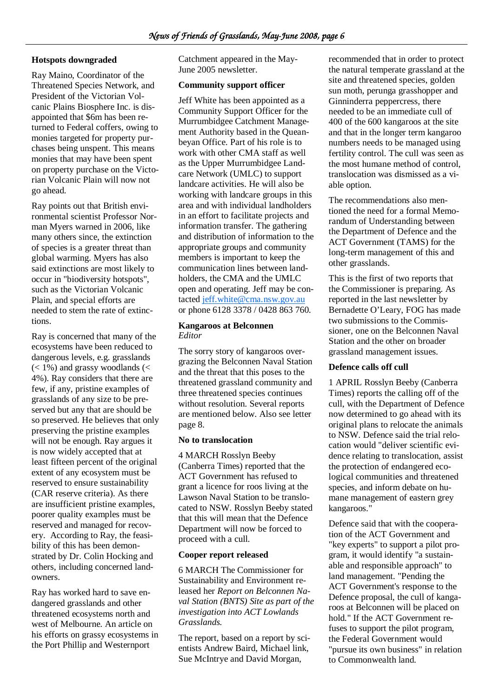### **Hotspots downgraded**

Ray Maino, Coordinator of the Threatened Species Network, and President of the Victorian Volcanic Plains Biosphere Inc. is disappointed that \$6m has been returned to Federal coffers, owing to monies targeted for property purchases being unspent. This means monies that may have been spent on property purchase on the Victorian Volcanic Plain will now not go ahead.

Ray points out that British environmental scientist Professor Norman Myers warned in 2006, like many others since, the extinction of species is a greater threat than global warming. Myers has also said extinctions are most likely to occur in "biodiversity hotspots", such as the Victorian Volcanic Plain, and special efforts are needed to stem the rate of extinctions.

Ray is concerned that many of the ecosystems have been reduced to dangerous levels, e.g. grasslands  $(< 1\%)$  and grassy woodlands  $(<$ 4%). Ray considers that there are few, if any, pristine examples of grasslands of any size to be preserved but any that are should be so preserved. He believes that only preserving the pristine examples will not be enough. Ray argues it is now widely accepted that at least fifteen percent of the original extent of any ecosystem must be reserved to ensure sustainability (CAR reserve criteria). As there are insufficient pristine examples, poorer quality examples must be reserved and managed for recovery. According to Ray, the feasibility of this has been demonstrated by Dr. Colin Hocking and others, including concerned landowners.

Ray has worked hard to save endangered grasslands and other threatened ecosystems north and west of Melbourne. An article on his efforts on grassy ecosystems in the Port Phillip and Westernport

Catchment appeared in the May-June 2005 newsletter.

### **Community support officer**

Jeff White has been appointed as a Community Support Officer for the Murrumbidgee Catchment Management Authority based in the Queanbeyan Office. Part of his role is to work with other CMA staff as well as the Upper Murrumbidgee Landcare Network (UMLC) to support landcare activities. He will also be working with landcare groups in this area and with individual landholders in an effort to facilitate projects and information transfer. The gathering and distribution of information to the appropriate groups and community members is important to keep the communication lines between landholders, the CMA and the UMLC open and operating. Jeff may be contacted jeff.white@cma.nsw.gov.au or phone 6128 3378 / 0428 863 760.

### **Kangaroos at Belconnen**  *Editor*

The sorry story of kangaroos overgrazing the Belconnen Naval Station and the threat that this poses to the threatened grassland community and three threatened species continues without resolution. Several reports are mentioned below. Also see letter page 8.

### **No to translocation**

4 MARCH Rosslyn Beeby (Canberra Times) reported that the ACT Government has refused to grant a licence for roos living at the Lawson Naval Station to be translocated to NSW. Rosslyn Beeby stated that this will mean that the Defence Department will now be forced to proceed with a cull.

### **Cooper report released**

6 MARCH The Commissioner for Sustainability and Environment released her *Report on Belconnen Naval Station (BNTS) Site as part of the investigation into ACT Lowlands Grasslands.* 

The report, based on a report by scientists Andrew Baird, Michael link, Sue McIntrye and David Morgan,

recommended that in order to protect the natural temperate grassland at the site and threatened species, golden sun moth, perunga grasshopper and Ginninderra peppercress, there needed to be an immediate cull of 400 of the 600 kangaroos at the site and that in the longer term kangaroo numbers needs to be managed using fertility control. The cull was seen as the most humane method of control, translocation was dismissed as a viable option.

The recommendations also mentioned the need for a formal Memorandum of Understanding between the Department of Defence and the ACT Government (TAMS) for the long-term management of this and other grasslands.

This is the first of two reports that the Commissioner is preparing. As reported in the last newsletter by Bernadette O'Leary, FOG has made two submissions to the Commissioner, one on the Belconnen Naval Station and the other on broader grassland management issues.

### **Defence calls off cull**

1 APRIL Rosslyn Beeby (Canberra Times) reports the calling off of the cull, with the Department of Defence now determined to go ahead with its original plans to relocate the animals to NSW. Defence said the trial relocation would "deliver scientific evidence relating to translocation, assist the protection of endangered ecological communities and threatened species, and inform debate on humane management of eastern grey kangaroos."

Defence said that with the cooperation of the ACT Government and "key experts" to support a pilot program, it would identify "a sustainable and responsible approach" to land management. "Pending the ACT Government's response to the Defence proposal, the cull of kangaroos at Belconnen will be placed on hold." If the ACT Government refuses to support the pilot program, the Federal Government would "pursue its own business" in relation to Commonwealth land.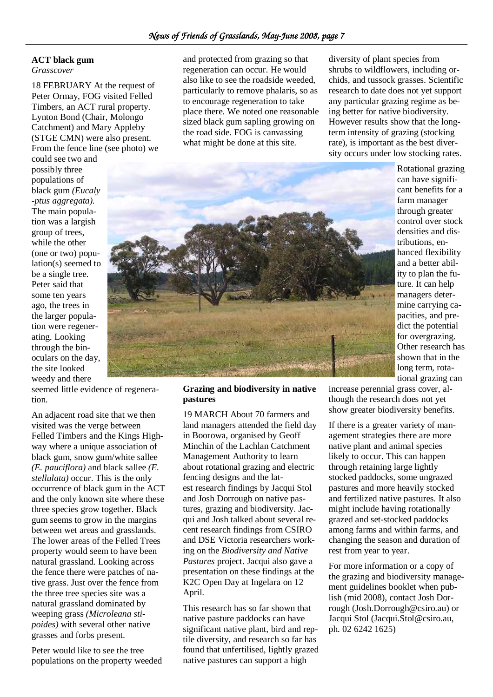### **ACT black gum**

*Grasscover* 

18 FEBRUARY At the request of Peter Ormay, FOG visited Felled Timbers, an ACT rural property. Lynton Bond (Chair, Molongo Catchment) and Mary Appleby (STGE CMN) were also present. From the fence line (see photo) we

could see two and possibly three populations of black gum *(Eucaly -ptus aggregata).*  The main population was a largish group of trees, while the other (one or two) population(s) seemed to be a single tree. Peter said that some ten years ago, the trees in the larger population were regenerating. Looking through the binoculars on the day, the site looked weedy and there

seemed little evidence of regeneration.

An adjacent road site that we then visited was the verge between Felled Timbers and the Kings Highway where a unique association of black gum, snow gum/white sallee *(E. pauciflora)* and black sallee *(E. stellulata)* occur. This is the only occurrence of black gum in the ACT and the only known site where these three species grow together. Black gum seems to grow in the margins between wet areas and grasslands. The lower areas of the Felled Trees property would seem to have been natural grassland. Looking across the fence there were patches of native grass. Just over the fence from the three tree species site was a natural grassland dominated by weeping grass *(Microleana stipoides)* with several other native grasses and forbs present.

Peter would like to see the tree populations on the property weeded and protected from grazing so that regeneration can occur. He would also like to see the roadside weeded, particularly to remove phalaris, so as to encourage regeneration to take place there. We noted one reasonable sized black gum sapling growing on the road side. FOG is canvassing what might be done at this site.

diversity of plant species from shrubs to wildflowers, including orchids, and tussock grasses. Scientific research to date does not yet support any particular grazing regime as being better for native biodiversity. However results show that the longterm intensity of grazing (stocking rate), is important as the best diversity occurs under low stocking rates.



increase perennial grass cover, although the research does not yet show greater biodiversity benefits.

If there is a greater variety of management strategies there are more native plant and animal species likely to occur. This can happen through retaining large lightly stocked paddocks, some ungrazed pastures and more heavily stocked and fertilized native pastures. It also might include having rotationally grazed and set-stocked paddocks among farms and within farms, and changing the season and duration of rest from year to year.

For more information or a copy of the grazing and biodiversity management guidelines booklet when publish (mid 2008), contact Josh Dorrough (Josh.Dorrough@csiro.au) or Jacqui Stol (Jacqui.Stol@csiro.au, ph. 02 6242 1625)

### **Grazing and biodiversity in native pastures**

19 MARCH About 70 farmers and land managers attended the field day in Boorowa, organised by Geoff Minchin of the Lachlan Catchment Management Authority to learn about rotational grazing and electric fencing designs and the latest research findings by Jacqui Stol and Josh Dorrough on native pastures, grazing and biodiversity. Jacqui and Josh talked about several recent research findings from CSIRO and DSE Victoria researchers working on the *Biodiversity and Native Pastures* project. Jacqui also gave a presentation on these findings at the K2C Open Day at Ingelara on 12 April.

This research has so far shown that native pasture paddocks can have significant native plant, bird and reptile diversity, and research so far has found that unfertilised, lightly grazed native pastures can support a high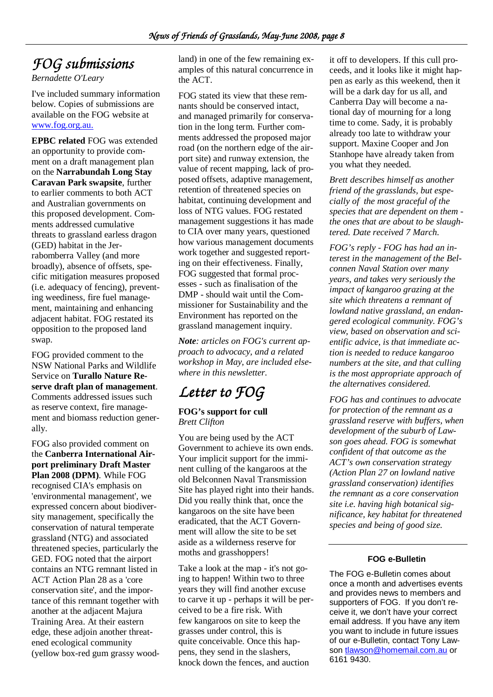## $FOG$  submissions

*Bernadette O'Leary* 

I've included summary information below. Copies of submissions are available on the FOG website at www.fog.org.au.

**EPBC related** FOG was extended an opportunity to provide comment on a draft management plan on the **Narrabundah Long Stay Caravan Park swapsite**, further to earlier comments to both ACT and Australian governments on this proposed development. Comments addressed cumulative threats to grassland earless dragon (GED) habitat in the Jerrabomberra Valley (and more broadly), absence of offsets, specific mitigation measures proposed (i.e. adequacy of fencing), preventing weediness, fire fuel management, maintaining and enhancing adjacent habitat. FOG restated its opposition to the proposed land swap.

FOG provided comment to the NSW National Parks and Wildlife Service on **Turallo Nature Reserve draft plan of management**. Comments addressed issues such as reserve context, fire management and biomass reduction generally.

FOG also provided comment on the **Canberra International Airport preliminary Draft Master Plan 2008 (DPM)**. While FOG recognised CIA's emphasis on 'environmental management', we expressed concern about biodiversity management, specifically the conservation of natural temperate grassland (NTG) and associated threatened species, particularly the GED. FOG noted that the airport contains an NTG remnant listed in ACT Action Plan 28 as a 'core conservation site', and the importance of this remnant together with another at the adjacent Majura Training Area. At their eastern edge, these adjoin another threatened ecological community (yellow box-red gum grassy woodland) in one of the few remaining examples of this natural concurrence in the ACT.

FOG stated its view that these remnants should be conserved intact, and managed primarily for conservation in the long term. Further comments addressed the proposed major road (on the northern edge of the airport site) and runway extension, the value of recent mapping, lack of proposed offsets, adaptive management, retention of threatened species on habitat, continuing development and loss of NTG values. FOG restated management suggestions it has made to CIA over many years, questioned how various management documents work together and suggested reporting on their effectiveness. Finally, FOG suggested that formal processes - such as finalisation of the DMP - should wait until the Commissioner for Sustainability and the Environment has reported on the grassland management inquiry.

*Note: articles on FOG's current approach to advocacy, and a related workshop in May, are included elsewhere in this newsletter.* 

# Letter to FOG

### **FOG's support for cull**  *Brett Clifton*

You are being used by the ACT Government to achieve its own ends. Your implicit support for the imminent culling of the kangaroos at the old Belconnen Naval Transmission Site has played right into their hands. Did you really think that, once the kangaroos on the site have been eradicated, that the ACT Government will allow the site to be set aside as a wilderness reserve for moths and grasshoppers!

Take a look at the map - it's not going to happen! Within two to three years they will find another excuse to carve it up - perhaps it will be perceived to be a fire risk. With few kangaroos on site to keep the grasses under control, this is quite conceivable. Once this happens, they send in the slashers, knock down the fences, and auction

it off to developers. If this cull proceeds, and it looks like it might happen as early as this weekend, then it will be a dark day for us all, and Canberra Day will become a national day of mourning for a long time to come. Sady, it is probably already too late to withdraw your support. Maxine Cooper and Jon Stanhope have already taken from you what they needed.

*Brett describes himself as another friend of the grasslands, but especially of the most graceful of the species that are dependent on them the ones that are about to be slaughtered. Date received 7 March.* 

*FOG's reply - FOG has had an interest in the management of the Belconnen Naval Station over many years, and takes very seriously the impact of kangaroo grazing at the site which threatens a remnant of lowland native grassland, an endangered ecological community. FOG's view, based on observation and scientific advice, is that immediate action is needed to reduce kangaroo numbers at the site, and that culling is the most appropriate approach of the alternatives considered.* 

*FOG has and continues to advocate for protection of the remnant as a grassland reserve with buffers, when development of the suburb of Lawson goes ahead. FOG is somewhat confident of that outcome as the ACT's own conservation strategy (Action Plan 27 on lowland native grassland conservation) identifies the remnant as a core conservation site i.e. having high botanical significance, key habitat for threatened species and being of good size.* 

### **FOG e-Bulletin**

The FOG e-Bulletin comes about once a month and advertises events and provides news to members and supporters of FOG. If you don't receive it, we don't have your correct email address. If you have any item you want to include in future issues of our e-Bulletin, contact Tony Lawson tlawson@homemail.com.au or 6161 9430.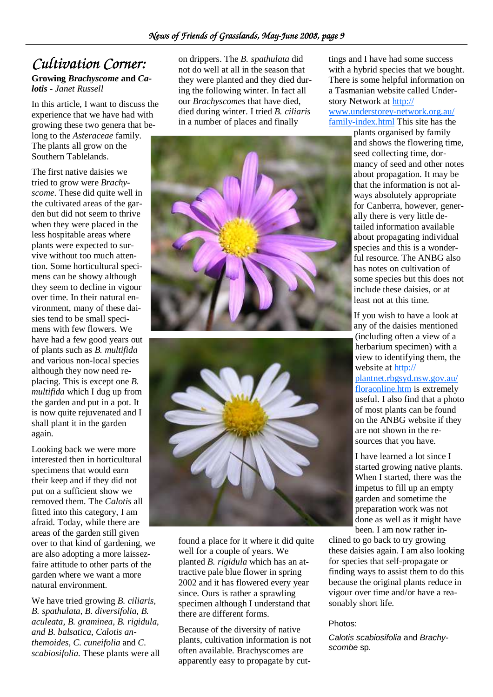## *Cultivation Corner:*

### **Growing** *Brachyscome* **and** *Calotis - Janet Russell*

In this article, I want to discuss the experience that we have had with growing these two genera that belong to the *Asteraceae* family. The plants all grow on the Southern Tablelands.

The first native daisies we tried to grow were *Brachyscome*. These did quite well in the cultivated areas of the garden but did not seem to thrive when they were placed in the less hospitable areas where plants were expected to survive without too much attention. Some horticultural specimens can be showy although they seem to decline in vigour over time. In their natural environment, many of these daisies tend to be small specimens with few flowers. We have had a few good years out of plants such as *B. multifida* and various non-local species although they now need replacing. This is except one *B. multifida* which I dug up from the garden and put in a pot. It is now quite rejuvenated and I shall plant it in the garden again.

Looking back we were more interested then in horticultural specimens that would earn their keep and if they did not put on a sufficient show we removed them. The *Calotis* all fitted into this category, I am afraid. Today, while there are areas of the garden still given over to that kind of gardening, we are also adopting a more laissezfaire attitude to other parts of the garden where we want a more natural environment.

We have tried growing *B. ciliaris, B. spathulata, B. diversifolia, B. aculeata, B. graminea, B. rigidula, and B. balsatica, Calotis anthemoides, C. cuneifolia* and *C. scabiosifolia.* These plants were all on drippers. The *B. spathulata* did not do well at all in the season that they were planted and they died during the following winter. In fact all our *Brachyscomes* that have died, died during winter. I tried *B. ciliaris*  in a number of places and finally





found a place for it where it did quite well for a couple of years. We planted *B. rigidula* which has an attractive pale blue flower in spring 2002 and it has flowered every year since. Ours is rather a sprawling specimen although I understand that there are different forms.

Because of the diversity of native plants, cultivation information is not often available. Brachyscomes are apparently easy to propagate by cuttings and I have had some success with a hybrid species that we bought. There is some helpful information on a Tasmanian website called Understory Network at http:// www.understorey-network.org.au/

family-index.html This site has the

plants organised by family and shows the flowering time, seed collecting time, dormancy of seed and other notes about propagation. It may be that the information is not always absolutely appropriate for Canberra, however, generally there is very little detailed information available about propagating individual species and this is a wonderful resource. The ANBG also has notes on cultivation of some species but this does not include these daisies, or at least not at this time.

If you wish to have a look at any of the daisies mentioned (including often a view of a herbarium specimen) with a view to identifying them, the website at http://

plantnet.rbgsyd.nsw.gov.au/ floraonline.htm is extremely useful. I also find that a photo of most plants can be found on the ANBG website if they are not shown in the resources that you have.

I have learned a lot since I started growing native plants. When I started, there was the impetus to fill up an empty garden and sometime the preparation work was not done as well as it might have been. I am now rather in-

clined to go back to try growing these daisies again. I am also looking for species that self-propagate or finding ways to assist them to do this because the original plants reduce in vigour over time and/or have a reasonably short life.

### Photos:

Calotis scabiosifolia and Brachyscombe sp.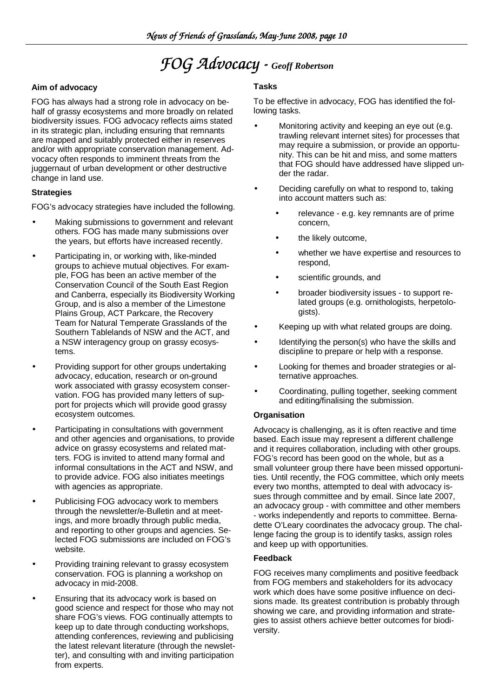## *FOG Advocacy - - Geoff Robertson*

### **Aim of advocacy**

FOG has always had a strong role in advocacy on behalf of grassy ecosystems and more broadly on related biodiversity issues. FOG advocacy reflects aims stated in its strategic plan, including ensuring that remnants are mapped and suitably protected either in reserves and/or with appropriate conservation management. Advocacy often responds to imminent threats from the juggernaut of urban development or other destructive change in land use.

### **Strategies**

FOG's advocacy strategies have included the following.

- Making submissions to government and relevant others. FOG has made many submissions over the years, but efforts have increased recently.
- Participating in, or working with, like-minded groups to achieve mutual objectives. For example, FOG has been an active member of the Conservation Council of the South East Region and Canberra, especially its Biodiversity Working Group, and is also a member of the Limestone Plains Group, ACT Parkcare, the Recovery Team for Natural Temperate Grasslands of the Southern Tablelands of NSW and the ACT, and a NSW interagency group on grassy ecosystems.
- Providing support for other groups undertaking advocacy, education, research or on-ground work associated with grassy ecosystem conservation. FOG has provided many letters of support for projects which will provide good grassy ecosystem outcomes.
- Participating in consultations with government and other agencies and organisations, to provide advice on grassy ecosystems and related matters. FOG is invited to attend many formal and informal consultations in the ACT and NSW, and to provide advice. FOG also initiates meetings with agencies as appropriate.
- Publicising FOG advocacy work to members through the newsletter/e-Bulletin and at meetings, and more broadly through public media, and reporting to other groups and agencies. Selected FOG submissions are included on FOG's website.
- Providing training relevant to grassy ecosystem conservation. FOG is planning a workshop on advocacy in mid-2008.
- Ensuring that its advocacy work is based on good science and respect for those who may not share FOG's views. FOG continually attempts to keep up to date through conducting workshops, attending conferences, reviewing and publicising the latest relevant literature (through the newsletter), and consulting with and inviting participation from experts.

### **Tasks**

To be effective in advocacy, FOG has identified the following tasks.

- Monitoring activity and keeping an eye out (e.g. trawling relevant internet sites) for processes that may require a submission, or provide an opportunity. This can be hit and miss, and some matters that FOG should have addressed have slipped under the radar.
- Deciding carefully on what to respond to, taking into account matters such as:
	- relevance e.g. key remnants are of prime concern,
	- the likely outcome,
	- whether we have expertise and resources to respond,
	- scientific grounds, and
	- broader biodiversity issues to support related groups (e.g. ornithologists, herpetologists).
- Keeping up with what related groups are doing.
- Identifying the person(s) who have the skills and discipline to prepare or help with a response.
- Looking for themes and broader strategies or alternative approaches.
- Coordinating, pulling together, seeking comment and editing/finalising the submission.

### **Organisation**

Advocacy is challenging, as it is often reactive and time based. Each issue may represent a different challenge and it requires collaboration, including with other groups. FOG's record has been good on the whole, but as a small volunteer group there have been missed opportunities. Until recently, the FOG committee, which only meets every two months, attempted to deal with advocacy issues through committee and by email. Since late 2007, an advocacy group - with committee and other members - works independently and reports to committee. Bernadette O'Leary coordinates the advocacy group. The challenge facing the group is to identify tasks, assign roles and keep up with opportunities.

### **Feedback**

FOG receives many compliments and positive feedback from FOG members and stakeholders for its advocacy work which does have some positive influence on decisions made. Its greatest contribution is probably through showing we care, and providing information and strategies to assist others achieve better outcomes for biodiversity.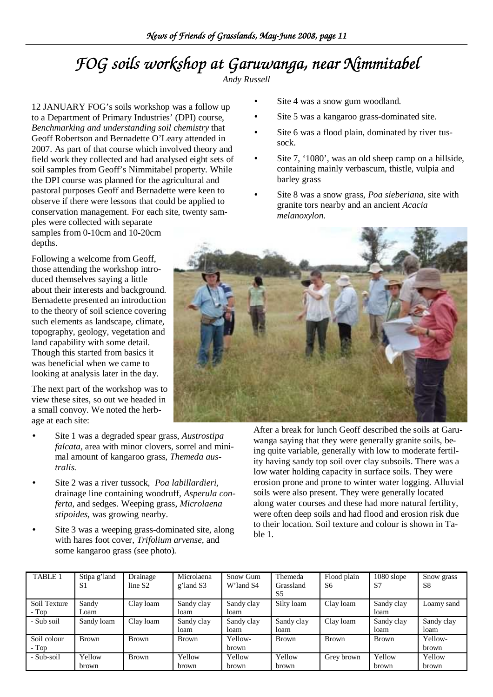# FOG soils workshop at Garuwanga, near Nimmitabel

*Andy Russell* 

12 JANUARY FOG's soils workshop was a follow up to a Department of Primary Industries' (DPI) course, *Benchmarking and understanding soil chemistry* that Geoff Robertson and Bernadette O'Leary attended in 2007. As part of that course which involved theory and field work they collected and had analysed eight sets of soil samples from Geoff's Nimmitabel property. While the DPI course was planned for the agricultural and pastoral purposes Geoff and Bernadette were keen to observe if there were lessons that could be applied to conservation management. For each site, twenty samples were collected with separate

samples from 0-10cm and 10-20cm depths.

Following a welcome from Geoff, those attending the workshop introduced themselves saying a little about their interests and background. Bernadette presented an introduction to the theory of soil science covering such elements as landscape, climate, topography, geology, vegetation and land capability with some detail. Though this started from basics it was beneficial when we came to looking at analysis later in the day.

The next part of the workshop was to view these sites, so out we headed in a small convoy. We noted the herbage at each site:

- Site 1 was a degraded spear grass, *Austrostipa falcata,* area with minor clovers, sorrel and minimal amount of kangaroo grass, *Themeda australis.*
- Site 2 was a river tussock, *Poa labillardieri,* drainage line containing woodruff, *Asperula conferta*, and sedges. Weeping grass, *Microlaena stipoides,* was growing nearby.
- Site 3 was a weeping grass-dominated site, along with hares foot cover, *Trifolium arvense,* and some kangaroo grass (see photo)*.*
- Site 4 was a snow gum woodland.
- Site 5 was a kangaroo grass-dominated site.
- Site 6 was a flood plain, dominated by river tussock.
- Site 7, '1080', was an old sheep camp on a hillside, containing mainly verbascum, thistle, vulpia and barley grass
- Site 8 was a snow grass, *Poa sieberiana*, site with granite tors nearby and an ancient *Acacia melanoxylon.*



After a break for lunch Geoff described the soils at Garuwanga saying that they were generally granite soils, being quite variable, generally with low to moderate fertility having sandy top soil over clay subsoils. There was a low water holding capacity in surface soils. They were erosion prone and prone to winter water logging. Alluvial soils were also present. They were generally located along water courses and these had more natural fertility, were often deep soils and had flood and erosion risk due to their location. Soil texture and colour is shown in Table 1.

| TABLE 1                 | Stipa g'land<br>S1 | Drainage<br>line S <sub>2</sub> | Microlaena<br>g'land S3 | Snow Gum<br>W'land S4 | Themeda<br>Grassland<br>S <sub>5</sub> | Flood plain<br>S6 | $1080$ slope<br>S7 | Snow grass<br>S <sub>8</sub> |
|-------------------------|--------------------|---------------------------------|-------------------------|-----------------------|----------------------------------------|-------------------|--------------------|------------------------------|
| Soil Texture<br>$- Top$ | Sandy<br>Loam      | Clay loam                       | Sandy clay<br>loam      | Sandy clay<br>loam    | Silty loam                             | Clay loam         | Sandy clay<br>loam | Loamy sand                   |
| - Sub soil              | Sandy loam         | Clay loam                       | Sandy clay<br>loam      | Sandy clay<br>loam    | Sandy clay<br>loam                     | Clay loam         | Sandy clay<br>loam | Sandy clay<br>loam           |
| Soil colour<br>- Top    | <b>Brown</b>       | Brown                           | Brown                   | Yellow-<br>brown      | Brown                                  | <b>Brown</b>      | <b>Brown</b>       | Yellow-<br>brown             |
| - Sub-soil              | Yellow<br>brown    | <b>Brown</b>                    | Yellow<br>brown         | Yellow<br>brown       | Yellow<br>brown                        | Grey brown        | Yellow<br>brown    | Yellow<br>brown              |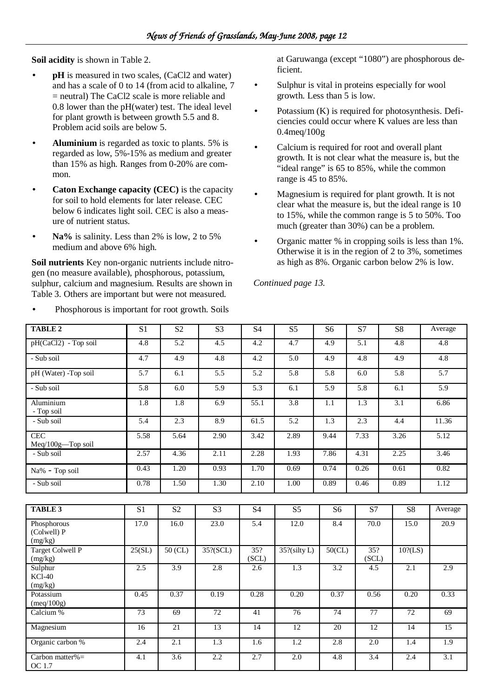**Soil acidity** is shown in Table 2.

- **pH** is measured in two scales, (CaCl2 and water) and has a scale of 0 to 14 (from acid to alkaline, 7 = neutral) The CaCl2 scale is more reliable and 0.8 lower than the pH(water) test. The ideal level for plant growth is between growth 5.5 and 8. Problem acid soils are below 5.
- **Aluminium** is regarded as toxic to plants. 5% is regarded as low, 5%-15% as medium and greater than 15% as high. Ranges from 0-20% are common.
- **Caton Exchange capacity (CEC)** is the capacity for soil to hold elements for later release. CEC below 6 indicates light soil. CEC is also a measure of nutrient status.
- **Na%** is salinity. Less than 2% is low, 2 to 5% medium and above 6% high.

**Soil nutrients** Key non-organic nutrients include nitrogen (no measure available), phosphorous, potassium, sulphur, calcium and magnesium. Results are shown in Table 3. Others are important but were not measured.

• Phosphorous is important for root growth. Soils

at Garuwanga (except "1080") are phosphorous deficient.

- Sulphur is vital in proteins especially for wool growth. Less than 5 is low.
- Potassium (K) is required for photosynthesis. Deficiencies could occur where K values are less than 0.4meq/100g
- Calcium is required for root and overall plant growth. It is not clear what the measure is, but the "ideal range" is 65 to 85%, while the common range is 45 to 85%.
- Magnesium is required for plant growth. It is not clear what the measure is, but the ideal range is 10 to 15%, while the common range is 5 to 50%. Too much (greater than 30%) can be a problem.
- Organic matter % in cropping soils is less than 1%. Otherwise it is in the region of 2 to 3%, sometimes as high as 8%. Organic carbon below 2% is low.

*Continued page 13.* 

| <b>TABLE 2</b>                        | $\overline{S1}$  | $\overline{S2}$  | $\overline{S3}$ | $\overline{S4}$  | $\overline{S5}$  | S <sub>6</sub>  | $\overline{S7}$   | $\overline{S8}$ | Average           |
|---------------------------------------|------------------|------------------|-----------------|------------------|------------------|-----------------|-------------------|-----------------|-------------------|
| pH(CaCl2) - Top soil                  | 4.8              | 5.2              | 4.5             | 4.2              | 4.7              | 4.9             | 5.1               | 4.8             | 4.8               |
| - Sub soil                            | 4.7              | 4.9              | 4.8             | 4.2              | 5.0              | 4.9             | 4.8               | 4.9             | 4.8               |
| pH (Water) -Top soil                  | 5.7              | 6.1              | 5.5             | 5.2              | 5.8              | 5.8             | 6.0               | 5.8             | 5.7               |
| - Sub soil                            | 5.8              | 6.0              | 5.9             | 5.3              | 6.1              | 5.9             | 5.8               | 6.1             | 5.9               |
| Aluminium<br>- Top soil               | 1.8              | 1.8              | 6.9             | 55.1             | 3.8              | 1.1             | 1.3               | 3.1             | 6.86              |
| - Sub soil                            | 5.4              | 2.3              | 8.9             | 61.5             | 5.2              | 1.3             | 2.3               | 4.4             | 11.36             |
| <b>CEC</b><br>Meq/100g-Top soil       | 5.58             | 5.64             | 2.90            | 3.42             | 2.89             | 9.44            | 7.33              | 3.26            | 5.12              |
| - Sub soil                            | 2.57             | 4.36             | 2.11            | 2.28             | 1.93             | 7.86            | 4.31              | 2.25            | 3.46              |
| Na% - Top soil                        | 0.43             | 1.20             | 0.93            | 1.70             | 0.69             | 0.74            | 0.26              | 0.61            | 0.82              |
| - Sub soil                            | 0.78             | 1.50             | 1.30            | 2.10             | 1.00             | 0.89            | 0.46              | 0.89            | 1.12              |
|                                       |                  |                  |                 |                  |                  |                 |                   |                 |                   |
| <b>TABLE 3</b>                        | $\overline{S1}$  | $\overline{S2}$  | $\overline{S3}$ | <b>S4</b>        | $\overline{S5}$  | $\overline{S6}$ | $\overline{S7}$   | $\overline{S8}$ | Average           |
| Phosphorous<br>(Colwell) P<br>(mg/kg) | 17.0             | 16.0             | 23.0            | $\overline{5.4}$ | 12.0             | 8.4             | $\overline{70.0}$ | 15.0            | $\overline{20.9}$ |
| Target Colwell P<br>(mg/kg)           | 25(SL)           | $50$ (CL)        | $35$ ?(SCL)     | 35?<br>(SCL)     | $35$ ?(silty L)  | $50$ (CL)       | 35?<br>(SCL)      | $10$ ?(LS)      |                   |
| Sulphur<br>$KCI-40$<br>(mg/kg)        | 2.5              | 3.9              | 2.8             | 2.6              | $\overline{1.3}$ | 3.2             | 4.5               | 2.1             | 2.9               |
| Potassium<br>(meq/100g)               | 0.45             | 0.37             | 0.19            | 0.28             | 0.20             | 0.37            | 0.56              | 0.20            | 0.33              |
| Calcium %                             | 73               | 69               | 72              | $\overline{41}$  | 76               | 74              | 77                | 72              | 69                |
| Magnesium                             | 16               | $\overline{21}$  | $\overline{13}$ | $\overline{14}$  | $\overline{12}$  | 20              | $\overline{12}$   | $\overline{14}$ | $\overline{15}$   |
| Organic carbon %                      | 2.4              | 2.1              | 1.3             | $\overline{1.6}$ | $\overline{1.2}$ | 2.8             | $\overline{2.0}$  | 1.4             | 1.9               |
| Carbon matter% $=$<br>OC 1.7          | $\overline{4.1}$ | $\overline{3.6}$ | 2.2             | 2.7              | $\overline{2.0}$ | 4.8             | $\overline{3.4}$  | 2.4             | 3.1               |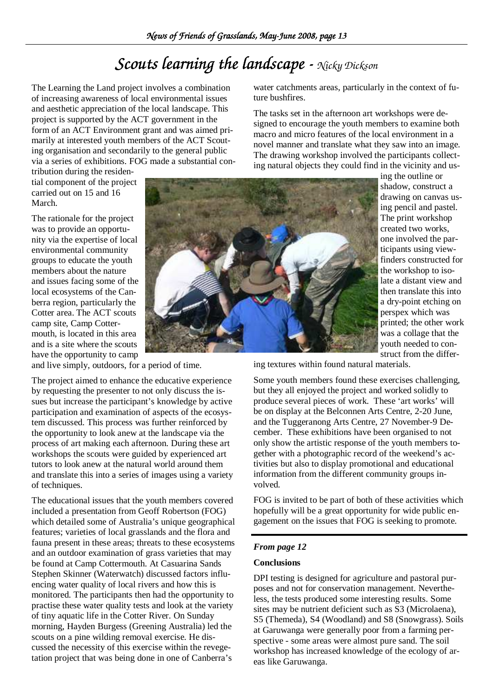## *Scouts learning the landscape - landscape - Nicky Dickson*

The Learning the Land project involves a combination of increasing awareness of local environmental issues and aesthetic appreciation of the local landscape. This project is supported by the ACT government in the form of an ACT Environment grant and was aimed primarily at interested youth members of the ACT Scouting organisation and secondarily to the general public via a series of exhibitions. FOG made a substantial con-

tribution during the residential component of the project carried out on 15 and 16 March.

The rationale for the project was to provide an opportunity via the expertise of local environmental community groups to educate the youth members about the nature and issues facing some of the local ecosystems of the Canberra region, particularly the Cotter area. The ACT scouts camp site, Camp Cottermouth, is located in this area and is a site where the scouts have the opportunity to camp



and live simply, outdoors, for a period of time.

The project aimed to enhance the educative experience by requesting the presenter to not only discuss the issues but increase the participant's knowledge by active participation and examination of aspects of the ecosystem discussed. This process was further reinforced by the opportunity to look anew at the landscape via the process of art making each afternoon. During these art workshops the scouts were guided by experienced art tutors to look anew at the natural world around them and translate this into a series of images using a variety of techniques.

The educational issues that the youth members covered included a presentation from Geoff Robertson (FOG) which detailed some of Australia's unique geographical features; varieties of local grasslands and the flora and fauna present in these areas; threats to these ecosystems and an outdoor examination of grass varieties that may be found at Camp Cottermouth. At Casuarina Sands Stephen Skinner (Waterwatch) discussed factors influencing water quality of local rivers and how this is monitored. The participants then had the opportunity to practise these water quality tests and look at the variety of tiny aquatic life in the Cotter River. On Sunday morning, Hayden Burgess (Greening Australia) led the scouts on a pine wilding removal exercise. He discussed the necessity of this exercise within the revegetation project that was being done in one of Canberra's

water catchments areas, particularly in the context of future bushfires.

The tasks set in the afternoon art workshops were designed to encourage the youth members to examine both macro and micro features of the local environment in a novel manner and translate what they saw into an image. The drawing workshop involved the participants collecting natural objects they could find in the vicinity and us-

ing the outline or shadow, construct a drawing on canvas using pencil and pastel. The print workshop created two works, one involved the participants using viewfinders constructed for the workshop to isolate a distant view and then translate this into a dry-point etching on perspex which was printed; the other work was a collage that the youth needed to construct from the differ-

ing textures within found natural materials.

Some youth members found these exercises challenging, but they all enjoyed the project and worked solidly to produce several pieces of work. These 'art works' will be on display at the Belconnen Arts Centre, 2-20 June, and the Tuggeranong Arts Centre, 27 November-9 December. These exhibitions have been organised to not only show the artistic response of the youth members together with a photographic record of the weekend's activities but also to display promotional and educational information from the different community groups involved.

FOG is invited to be part of both of these activities which hopefully will be a great opportunity for wide public engagement on the issues that FOG is seeking to promote.

### *From page 12*

### **Conclusions**

DPI testing is designed for agriculture and pastoral purposes and not for conservation management. Nevertheless, the tests produced some interesting results. Some sites may be nutrient deficient such as S3 (Microlaena), S5 (Themeda), S4 (Woodland) and S8 (Snowgrass). Soils at Garuwanga were generally poor from a farming perspective - some areas were almost pure sand. The soil workshop has increased knowledge of the ecology of areas like Garuwanga.